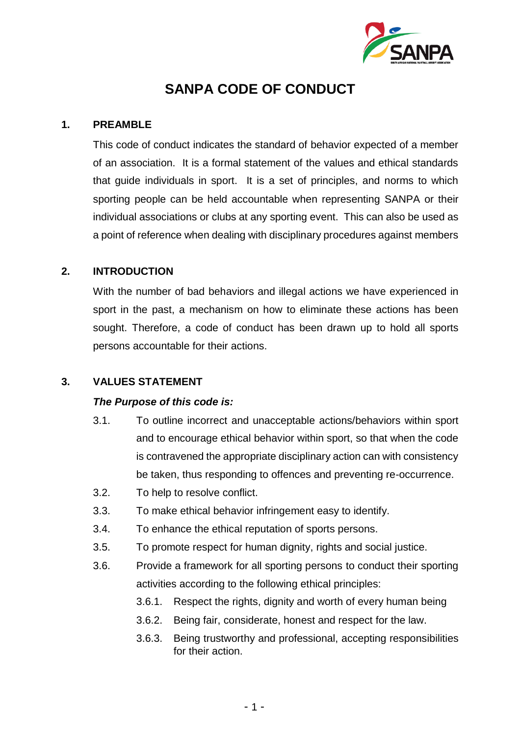

# **SANPA CODE OF CONDUCT**

### **1. PREAMBLE**

This code of conduct indicates the standard of behavior expected of a member of an association. It is a formal statement of the values and ethical standards that guide individuals in sport. It is a set of principles, and norms to which sporting people can be held accountable when representing SANPA or their individual associations or clubs at any sporting event. This can also be used as a point of reference when dealing with disciplinary procedures against members

### **2. INTRODUCTION**

With the number of bad behaviors and illegal actions we have experienced in sport in the past, a mechanism on how to eliminate these actions has been sought. Therefore, a code of conduct has been drawn up to hold all sports persons accountable for their actions.

### **3. VALUES STATEMENT**

### *The Purpose of this code is:*

- 3.1. To outline incorrect and unacceptable actions/behaviors within sport and to encourage ethical behavior within sport, so that when the code is contravened the appropriate disciplinary action can with consistency be taken, thus responding to offences and preventing re-occurrence.
- 3.2. To help to resolve conflict.
- 3.3. To make ethical behavior infringement easy to identify.
- 3.4. To enhance the ethical reputation of sports persons.
- 3.5. To promote respect for human dignity, rights and social justice.
- 3.6. Provide a framework for all sporting persons to conduct their sporting activities according to the following ethical principles:
	- 3.6.1. Respect the rights, dignity and worth of every human being
	- 3.6.2. Being fair, considerate, honest and respect for the law.
	- 3.6.3. Being trustworthy and professional, accepting responsibilities for their action.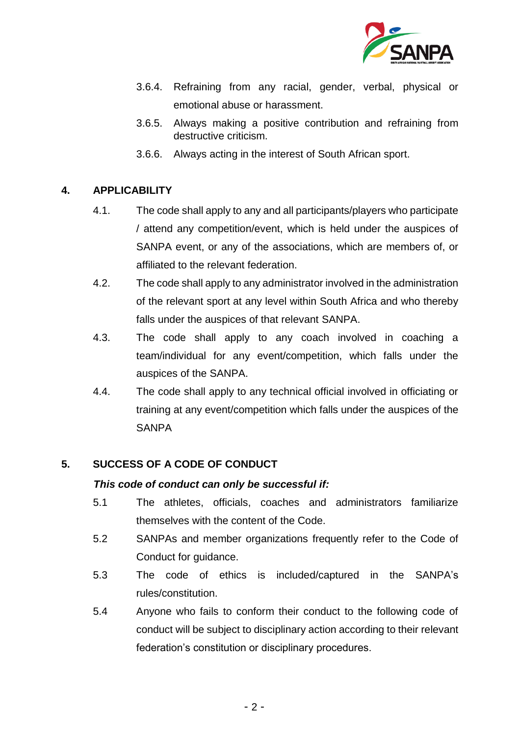

- 3.6.4. Refraining from any racial, gender, verbal, physical or emotional abuse or harassment.
- 3.6.5. Always making a positive contribution and refraining from destructive criticism.
- 3.6.6. Always acting in the interest of South African sport.

# **4. APPLICABILITY**

- 4.1. The code shall apply to any and all participants/players who participate / attend any competition/event, which is held under the auspices of SANPA event, or any of the associations, which are members of, or affiliated to the relevant federation.
- 4.2. The code shall apply to any administrator involved in the administration of the relevant sport at any level within South Africa and who thereby falls under the auspices of that relevant SANPA.
- 4.3. The code shall apply to any coach involved in coaching a team/individual for any event/competition, which falls under the auspices of the SANPA.
- 4.4. The code shall apply to any technical official involved in officiating or training at any event/competition which falls under the auspices of the **SANPA**

## **5. SUCCESS OF A CODE OF CONDUCT**

## *This code of conduct can only be successful if:*

- 5.1 The athletes, officials, coaches and administrators familiarize themselves with the content of the Code.
- 5.2 SANPAs and member organizations frequently refer to the Code of Conduct for guidance.
- 5.3 The code of ethics is included/captured in the SANPA's rules/constitution.
- 5.4 Anyone who fails to conform their conduct to the following code of conduct will be subject to disciplinary action according to their relevant federation's constitution or disciplinary procedures.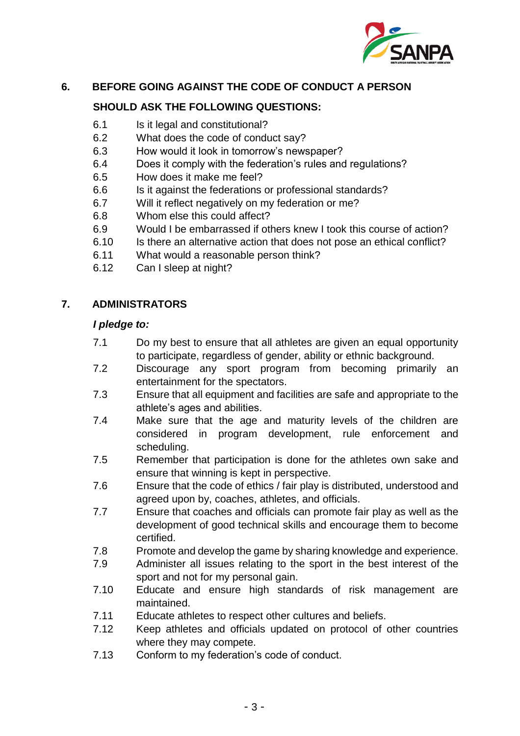

# **6. BEFORE GOING AGAINST THE CODE OF CONDUCT A PERSON**

# **SHOULD ASK THE FOLLOWING QUESTIONS:**

- 6.1 Is it legal and constitutional?
- 6.2 What does the code of conduct say?
- 6.3 How would it look in tomorrow's newspaper?
- 6.4 Does it comply with the federation's rules and regulations?
- 6.5 How does it make me feel?
- 6.6 Is it against the federations or professional standards?
- 6.7 Will it reflect negatively on my federation or me?
- 6.8 Whom else this could affect?
- 6.9 Would I be embarrassed if others knew I took this course of action?
- 6.10 Is there an alternative action that does not pose an ethical conflict?
- 6.11 What would a reasonable person think?
- 6.12 Can I sleep at night?

# **7. ADMINISTRATORS**

### *I pledge to:*

- 7.1 Do my best to ensure that all athletes are given an equal opportunity to participate, regardless of gender, ability or ethnic background.
- 7.2 Discourage any sport program from becoming primarily an entertainment for the spectators.
- 7.3 Ensure that all equipment and facilities are safe and appropriate to the athlete's ages and abilities.
- 7.4 Make sure that the age and maturity levels of the children are considered in program development, rule enforcement and scheduling.
- 7.5 Remember that participation is done for the athletes own sake and ensure that winning is kept in perspective.
- 7.6 Ensure that the code of ethics / fair play is distributed, understood and agreed upon by, coaches, athletes, and officials.
- 7.7 Ensure that coaches and officials can promote fair play as well as the development of good technical skills and encourage them to become certified.
- 7.8 Promote and develop the game by sharing knowledge and experience.
- 7.9 Administer all issues relating to the sport in the best interest of the sport and not for my personal gain.
- 7.10 Educate and ensure high standards of risk management are maintained.
- 7.11 Educate athletes to respect other cultures and beliefs.
- 7.12 Keep athletes and officials updated on protocol of other countries where they may compete.
- 7.13 Conform to my federation's code of conduct.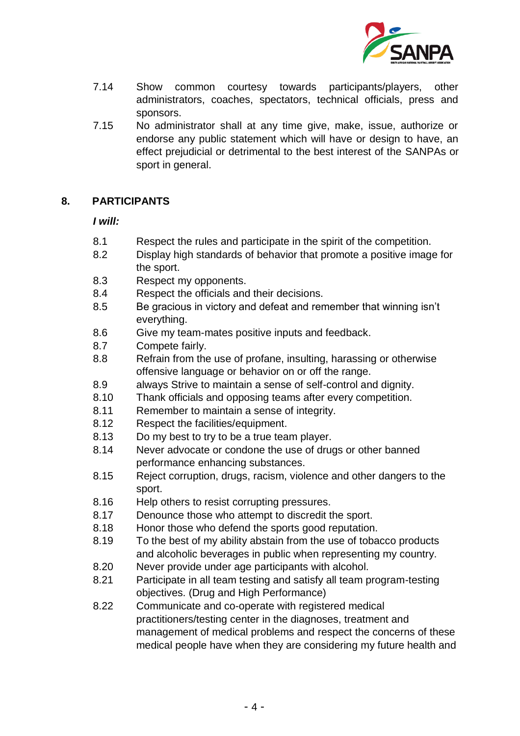

- 7.14 Show common courtesy towards participants/players, other administrators, coaches, spectators, technical officials, press and sponsors.
- 7.15 No administrator shall at any time give, make, issue, authorize or endorse any public statement which will have or design to have, an effect prejudicial or detrimental to the best interest of the SANPAs or sport in general.

## **8. PARTICIPANTS**

### *I will:*

- 8.1 Respect the rules and participate in the spirit of the competition.
- 8.2 Display high standards of behavior that promote a positive image for the sport.
- 8.3 Respect my opponents.
- 8.4 Respect the officials and their decisions.
- 8.5 Be gracious in victory and defeat and remember that winning isn't everything.
- 8.6 Give my team-mates positive inputs and feedback.
- 8.7 Compete fairly.
- 8.8 Refrain from the use of profane, insulting, harassing or otherwise offensive language or behavior on or off the range.
- 8.9 always Strive to maintain a sense of self-control and dignity.
- 8.10 Thank officials and opposing teams after every competition.
- 8.11 Remember to maintain a sense of integrity.
- 8.12 Respect the facilities/equipment.
- 8.13 Do my best to try to be a true team player.
- 8.14 Never advocate or condone the use of drugs or other banned performance enhancing substances.
- 8.15 Reject corruption, drugs, racism, violence and other dangers to the sport.
- 8.16 Help others to resist corrupting pressures.
- 8.17 Denounce those who attempt to discredit the sport.
- 8.18 Honor those who defend the sports good reputation.
- 8.19 To the best of my ability abstain from the use of tobacco products and alcoholic beverages in public when representing my country.
- 8.20 Never provide under age participants with alcohol.
- 8.21 Participate in all team testing and satisfy all team program-testing objectives. (Drug and High Performance)
- 8.22 Communicate and co-operate with registered medical practitioners/testing center in the diagnoses, treatment and management of medical problems and respect the concerns of these medical people have when they are considering my future health and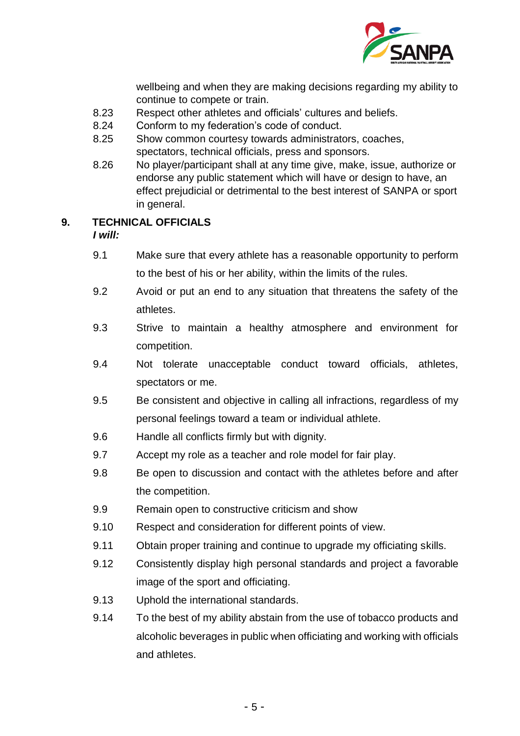

wellbeing and when they are making decisions regarding my ability to continue to compete or train.

- 8.23 Respect other athletes and officials' cultures and beliefs.
- 8.24 Conform to my federation's code of conduct.
- 8.25 Show common courtesy towards administrators, coaches, spectators, technical officials, press and sponsors.
- 8.26 No player/participant shall at any time give, make, issue, authorize or endorse any public statement which will have or design to have, an effect prejudicial or detrimental to the best interest of SANPA or sport in general.

# **9. TECHNICAL OFFICIALS**

*I will:*

- 9.1 Make sure that every athlete has a reasonable opportunity to perform to the best of his or her ability, within the limits of the rules.
- 9.2 Avoid or put an end to any situation that threatens the safety of the athletes.
- 9.3 Strive to maintain a healthy atmosphere and environment for competition.
- 9.4 Not tolerate unacceptable conduct toward officials, athletes, spectators or me.
- 9.5 Be consistent and objective in calling all infractions, regardless of my personal feelings toward a team or individual athlete.
- 9.6 Handle all conflicts firmly but with dignity.
- 9.7 Accept my role as a teacher and role model for fair play.
- 9.8 Be open to discussion and contact with the athletes before and after the competition.
- 9.9 Remain open to constructive criticism and show
- 9.10 Respect and consideration for different points of view.
- 9.11 Obtain proper training and continue to upgrade my officiating skills.
- 9.12 Consistently display high personal standards and project a favorable image of the sport and officiating.
- 9.13 Uphold the international standards.
- 9.14 To the best of my ability abstain from the use of tobacco products and alcoholic beverages in public when officiating and working with officials and athletes.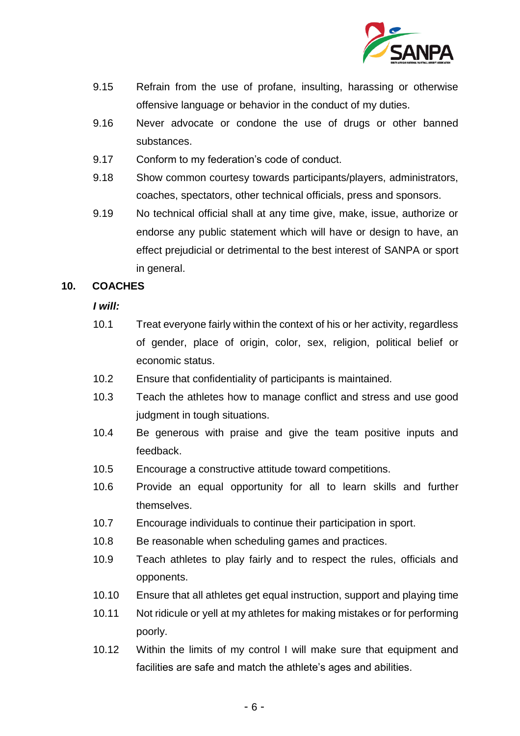

- 9.15 Refrain from the use of profane, insulting, harassing or otherwise offensive language or behavior in the conduct of my duties.
- 9.16 Never advocate or condone the use of drugs or other banned substances.
- 9.17 Conform to my federation's code of conduct.
- 9.18 Show common courtesy towards participants/players, administrators, coaches, spectators, other technical officials, press and sponsors.
- 9.19 No technical official shall at any time give, make, issue, authorize or endorse any public statement which will have or design to have, an effect prejudicial or detrimental to the best interest of SANPA or sport in general.

### **10. COACHES**

*I will:* 

- 10.1 Treat everyone fairly within the context of his or her activity, regardless of gender, place of origin, color, sex, religion, political belief or economic status.
- 10.2 Ensure that confidentiality of participants is maintained.
- 10.3 Teach the athletes how to manage conflict and stress and use good judgment in tough situations.
- 10.4 Be generous with praise and give the team positive inputs and feedback.
- 10.5 Encourage a constructive attitude toward competitions.
- 10.6 Provide an equal opportunity for all to learn skills and further themselves.
- 10.7 Encourage individuals to continue their participation in sport.
- 10.8 Be reasonable when scheduling games and practices.
- 10.9 Teach athletes to play fairly and to respect the rules, officials and opponents.
- 10.10 Ensure that all athletes get equal instruction, support and playing time
- 10.11 Not ridicule or yell at my athletes for making mistakes or for performing poorly.
- 10.12 Within the limits of my control I will make sure that equipment and facilities are safe and match the athlete's ages and abilities.